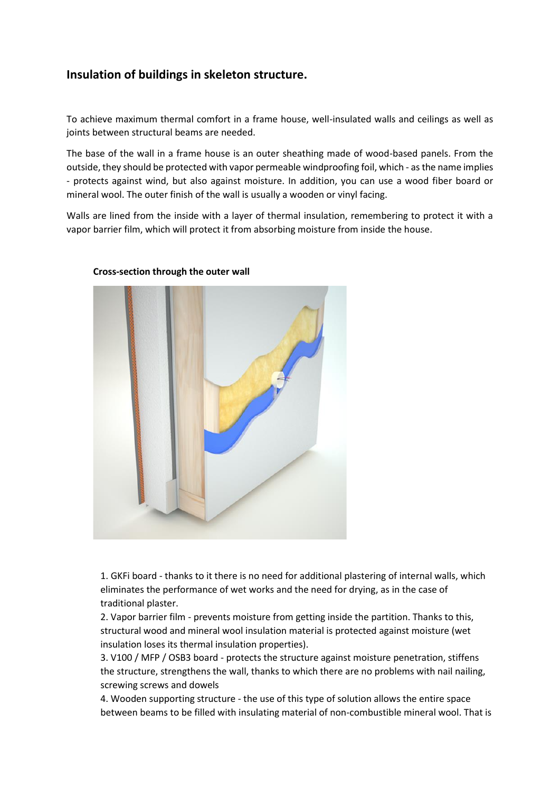## **Insulation of buildings in skeleton structure.**

To achieve maximum thermal comfort in a frame house, well-insulated walls and ceilings as well as joints between structural beams are needed.

The base of the wall in a frame house is an outer sheathing made of wood-based panels. From the outside, they should be protected with vapor permeable windproofing foil, which - as the name implies - protects against wind, but also against moisture. In addition, you can use a wood fiber board or mineral wool. The outer finish of the wall is usually a wooden or vinyl facing.

Walls are lined from the inside with a layer of thermal insulation, remembering to protect it with a vapor barrier film, which will protect it from absorbing moisture from inside the house.



## **Cross-section through the outer wall**

1. GKFi board - thanks to it there is no need for additional plastering of internal walls, which eliminates the performance of wet works and the need for drying, as in the case of traditional plaster.

2. Vapor barrier film - prevents moisture from getting inside the partition. Thanks to this, structural wood and mineral wool insulation material is protected against moisture (wet insulation loses its thermal insulation properties).

3. V100 / MFP / OSB3 board - protects the structure against moisture penetration, stiffens the structure, strengthens the wall, thanks to which there are no problems with nail nailing, screwing screws and dowels

4. Wooden supporting structure - the use of this type of solution allows the entire space between beams to be filled with insulating material of non-combustible mineral wool. That is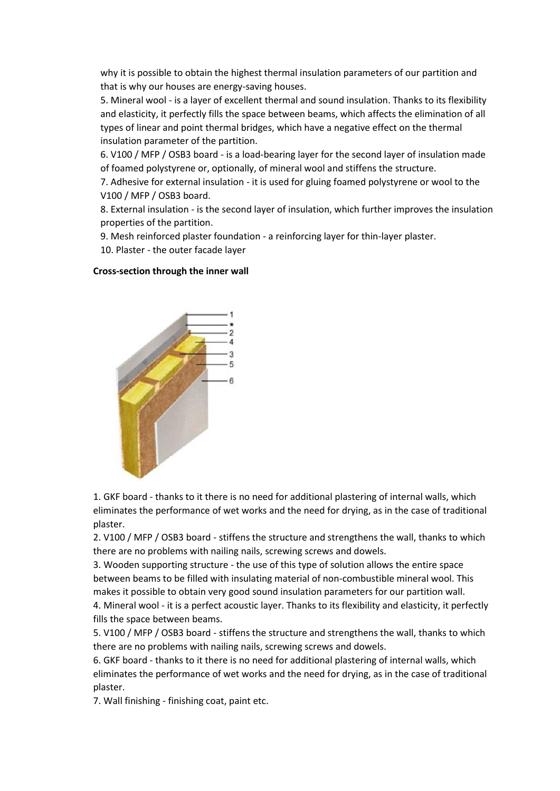why it is possible to obtain the highest thermal insulation parameters of our partition and that is why our houses are energy-saving houses.

5. Mineral wool - is a layer of excellent thermal and sound insulation. Thanks to its flexibility and elasticity, it perfectly fills the space between beams, which affects the elimination of all types of linear and point thermal bridges, which have a negative effect on the thermal insulation parameter of the partition.

6. V100 / MFP / OSB3 board - is a load-bearing layer for the second layer of insulation made of foamed polystyrene or, optionally, of mineral wool and stiffens the structure.

7. Adhesive for external insulation - it is used for gluing foamed polystyrene or wool to the V100 / MFP / OSB3 board.

8. External insulation - is the second layer of insulation, which further improves the insulation properties of the partition.

9. Mesh reinforced plaster foundation - a reinforcing layer for thin-layer plaster.

10. Plaster - the outer facade layer

## **Cross-section through the inner wall**



1. GKF board - thanks to it there is no need for additional plastering of internal walls, which eliminates the performance of wet works and the need for drying, as in the case of traditional plaster.

2. V100 / MFP / OSB3 board - stiffens the structure and strengthens the wall, thanks to which there are no problems with nailing nails, screwing screws and dowels.

3. Wooden supporting structure - the use of this type of solution allows the entire space between beams to be filled with insulating material of non-combustible mineral wool. This makes it possible to obtain very good sound insulation parameters for our partition wall.

4. Mineral wool - it is a perfect acoustic layer. Thanks to its flexibility and elasticity, it perfectly fills the space between beams.

5. V100 / MFP / OSB3 board - stiffens the structure and strengthens the wall, thanks to which there are no problems with nailing nails, screwing screws and dowels.

6. GKF board - thanks to it there is no need for additional plastering of internal walls, which eliminates the performance of wet works and the need for drying, as in the case of traditional plaster.

7. Wall finishing - finishing coat, paint etc.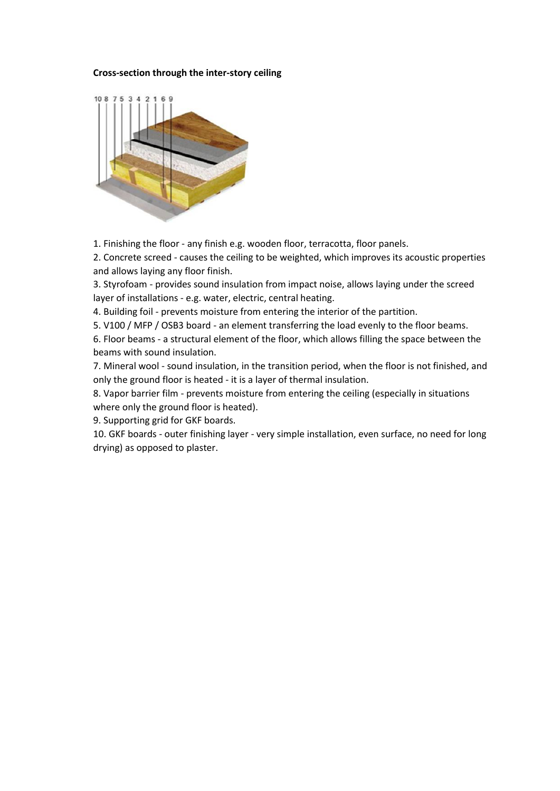## **Cross-section through the inter-story ceiling**



1. Finishing the floor - any finish e.g. wooden floor, terracotta, floor panels.

2. Concrete screed - causes the ceiling to be weighted, which improves its acoustic properties and allows laying any floor finish.

3. Styrofoam - provides sound insulation from impact noise, allows laying under the screed layer of installations - e.g. water, electric, central heating.

4. Building foil - prevents moisture from entering the interior of the partition.

5. V100 / MFP / OSB3 board - an element transferring the load evenly to the floor beams.

6. Floor beams - a structural element of the floor, which allows filling the space between the beams with sound insulation.

7. Mineral wool - sound insulation, in the transition period, when the floor is not finished, and only the ground floor is heated - it is a layer of thermal insulation.

8. Vapor barrier film - prevents moisture from entering the ceiling (especially in situations where only the ground floor is heated).

9. Supporting grid for GKF boards.

10. GKF boards - outer finishing layer - very simple installation, even surface, no need for long drying) as opposed to plaster.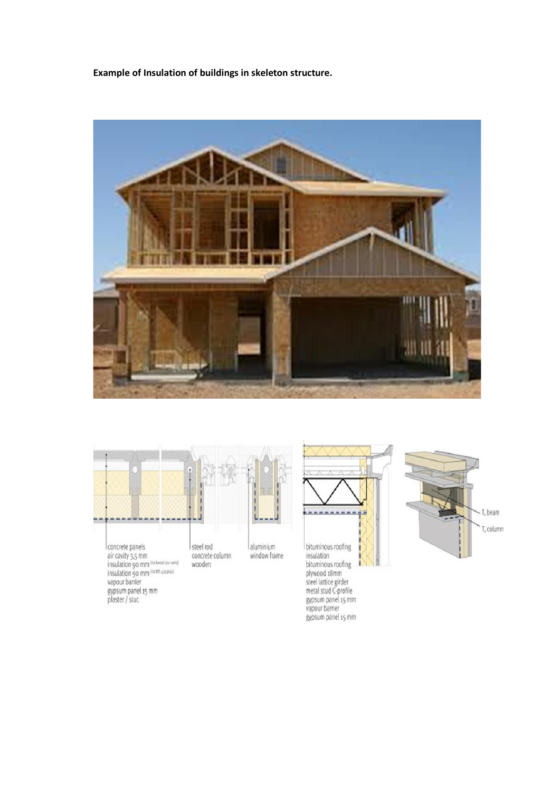**Example of Insulation of buildings in skeleton structure.**





air cavity 3,5 mm<br>insulation 90 mm<br>insulation 90 mm (nobles)<br>vapour barrier gypsum panel 15 mm<br>plaster / stuc

concrete column wooden



bituminous roofing<br>insulation bituminous roofing Dituminous roofing<br>steel lattice girder<br>steel lattice girder<br>metal stud C-profile<br>gypsum panel 15 mm<br>vapour barrier gypsum panel 15 mm